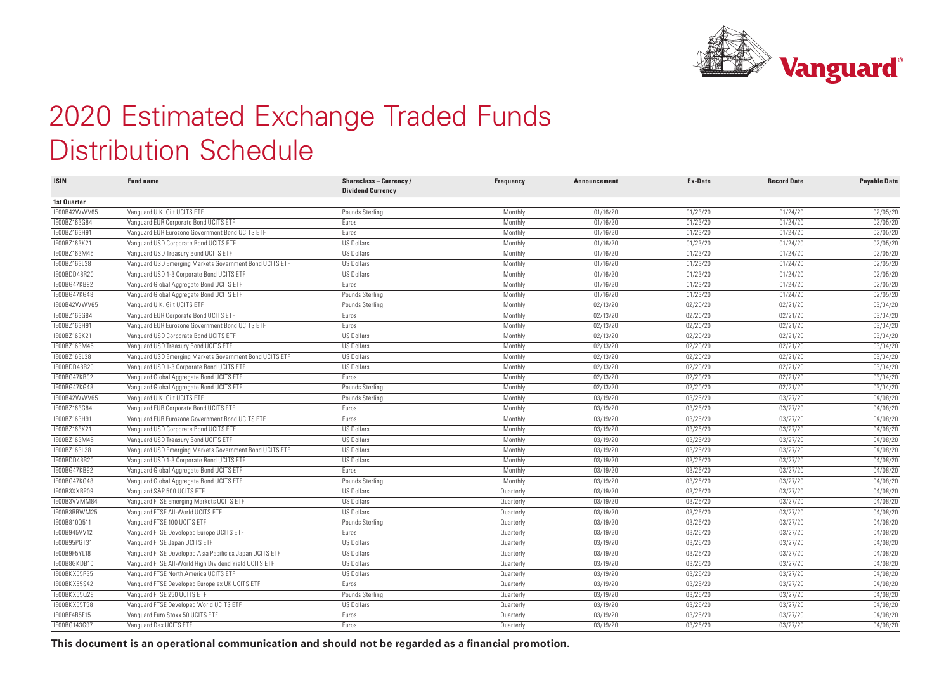

## 2020 Estimated Exchange Traded Funds Distribution Schedule

| <b>ISIN</b>  | <b>Fund name</b>                                        | Shareclass-Currency/<br><b>Dividend Currency</b> | Frequency | <b>Announcement</b> | Ex-Date  | <b>Record Date</b> | <b>Payable Date</b> |
|--------------|---------------------------------------------------------|--------------------------------------------------|-----------|---------------------|----------|--------------------|---------------------|
| 1st Quarter  |                                                         |                                                  |           |                     |          |                    |                     |
| IE00B42WWV65 | Vanquard U.K. Gilt UCITS ETF                            | Pounds Sterling                                  | Monthly   | 01/16/20            | 01/23/20 | 01/24/20           | 02/05/20            |
| IE00BZ163G84 | Vanguard EUR Corporate Bond UCITS ETF                   | Euros                                            | Monthly   | 01/16/20            | 01/23/20 | 01/24/20           | 02/05/20            |
| IE00BZ163H91 | Vanquard EUR Eurozone Government Bond UCITS ETF         | Euros                                            | Monthly   | 01/16/20            | 01/23/20 | 01/24/20           | 02/05/20            |
| IE00BZ163K21 | Vanquard USD Corporate Bond UCITS ETF                   | <b>US Dollars</b>                                | Monthly   | 01/16/20            | 01/23/20 | 01/24/20           | 02/05/20            |
| IE00BZ163M45 | Vanquard USD Treasury Bond UCITS ETF                    | <b>US Dollars</b>                                | Monthly   | 01/16/20            | 01/23/20 | 01/24/20           | 02/05/20            |
| IE00BZ163L38 | Vanguard USD Emerging Markets Government Bond UCITS ETF | <b>US Dollars</b>                                | Monthly   | 01/16/20            | 01/23/20 | 01/24/20           | 02/05/20            |
| IE00BDD48R20 | Vanguard USD 1-3 Corporate Bond UCITS ETF               | <b>US Dollars</b>                                | Monthly   | 01/16/20            | 01/23/20 | 01/24/20           | 02/05/20            |
| IE00BG47KB92 | Vanguard Global Aggregate Bond UCITS ETF                | Euros                                            | Monthly   | 01/16/20            | 01/23/20 | 01/24/20           | 02/05/20            |
| IE00BG47KG48 | Vanguard Global Aggregate Bond UCITS ETF                | Pounds Sterling                                  | Monthly   | 01/16/20            | 01/23/20 | 01/24/20           | 02/05/20            |
| IE00B42WWV65 | Vanguard U.K. Gilt UCITS ETF                            | Pounds Sterling                                  | Monthly   | 02/13/20            | 02/20/20 | 02/21/20           | 03/04/20            |
| IE00BZ163G84 | Vanquard EUR Corporate Bond UCITS ETF                   | Euros                                            | Monthly   | 02/13/20            | 02/20/20 | 02/21/20           | 03/04/20            |
| IE00BZ163H91 | Vanquard EUR Eurozone Government Bond UCITS ETF         | Euros                                            | Monthly   | 02/13/20            | 02/20/20 | 02/21/20           | 03/04/20            |
| IE00BZ163K21 | Vanquard USD Corporate Bond UCITS ETF                   | <b>US Dollars</b>                                | Monthly   | 02/13/20            | 02/20/20 | 02/21/20           | 03/04/20            |
| IE00BZ163M45 | Vanquard USD Treasury Bond UCITS ETF                    | <b>US Dollars</b>                                | Monthly   | 02/13/20            | 02/20/20 | 02/21/20           | 03/04/20            |
| IE00BZ163L38 | Vanguard USD Emerging Markets Government Bond UCITS ETF | <b>US Dollars</b>                                | Monthly   | 02/13/20            | 02/20/20 | 02/21/20           | 03/04/20            |
| IE00BDD48R20 | Vanguard USD 1-3 Corporate Bond UCITS ETF               | <b>US Dollars</b>                                | Monthly   | 02/13/20            | 02/20/20 | 02/21/20           | 03/04/20            |
| IE00BG47KB92 | Vanguard Global Aggregate Bond UCITS ETF                | Euros                                            | Monthly   | 02/13/20            | 02/20/20 | 02/21/20           | 03/04/20            |
| IE00BG47KG48 | Vanguard Global Aggregate Bond UCITS ETF                | Pounds Sterling                                  | Monthly   | 02/13/20            | 02/20/20 | 02/21/20           | 03/04/20            |
| IE00B42WWV65 | Vanquard U.K. Gilt UCITS ETF                            | Pounds Sterling                                  | Monthly   | 03/19/20            | 03/26/20 | 03/27/20           | 04/08/20            |
| IE00BZ163G84 | Vanquard EUR Corporate Bond UCITS ETF                   | Euros                                            | Monthly   | 03/19/20            | 03/26/20 | 03/27/20           | 04/08/20            |
| IE00BZ163H91 | Vanquard EUR Eurozone Government Bond UCITS ETF         | Euros                                            | Monthly   | 03/19/20            | 03/26/20 | 03/27/20           | 04/08/20            |
| IE00BZ163K21 | Vanquard USD Corporate Bond UCITS ETF                   | <b>US Dollars</b>                                | Monthly   | 03/19/20            | 03/26/20 | 03/27/20           | 04/08/20            |
| IE00BZ163M45 | Vanguard USD Treasury Bond UCITS ETF                    | <b>US Dollars</b>                                | Monthly   | 03/19/20            | 03/26/20 | 03/27/20           | 04/08/20            |
| IE00BZ163L38 | Vanguard USD Emerging Markets Government Bond UCITS ETF | <b>US Dollars</b>                                | Monthly   | 03/19/20            | 03/26/20 | 03/27/20           | 04/08/20            |
| IE00BDD48R20 | Vanquard USD 1-3 Corporate Bond UCITS ETF               | <b>US Dollars</b>                                | Monthly   | 03/19/20            | 03/26/20 | 03/27/20           | 04/08/20            |
| IE00BG47KB92 | Vanguard Global Aggregate Bond UCITS ETF                | Euros                                            | Monthly   | 03/19/20            | 03/26/20 | 03/27/20           | 04/08/20            |
| IE00BG47KG48 | Vanguard Global Aggregate Bond UCITS ETF                | Pounds Sterling                                  | Monthly   | 03/19/20            | 03/26/20 | 03/27/20           | 04/08/20            |
| IE00B3XXRP09 | Vanquard S&P 500 UCITS ETF                              | <b>US Dollars</b>                                | Quarterly | 03/19/20            | 03/26/20 | 03/27/20           | 04/08/20            |
| IE00B3VVMM84 | Vanguard FTSE Emerging Markets UCITS ETF                | <b>US Dollars</b>                                | Quarterly | 03/19/20            | 03/26/20 | 03/27/20           | 04/08/20            |
| IE00B3RBWM25 | Vanquard FTSE All-World UCITS ETF                       | <b>US Dollars</b>                                | Quarterly | 03/19/20            | 03/26/20 | 03/27/20           | 04/08/20            |
| IE00B810Q511 | Vanquard FTSE 100 UCITS ETF                             | Pounds Sterling                                  | Quarterly | 03/19/20            | 03/26/20 | 03/27/20           | 04/08/20            |
| IE00B945VV12 | Vanguard FTSE Developed Europe UCITS ETF                | Euros                                            | Quarterly | 03/19/20            | 03/26/20 | 03/27/20           | 04/08/20            |
| IE00B95PGT31 | Vanguard FTSE Japan UCITS ETF                           | <b>US Dollars</b>                                | Quarterly | 03/19/20            | 03/26/20 | 03/27/20           | 04/08/20            |
| IE00B9F5YL18 | Vanquard FTSE Developed Asia Pacific ex Japan UCITS ETF | <b>US Dollars</b>                                | Quarterly | 03/19/20            | 03/26/20 | 03/27/20           | 04/08/20            |
| IE00B8GKDB10 | Vanquard FTSE All-World High Dividend Yield UCITS ETF   | <b>US Dollars</b>                                | Quarterly | 03/19/20            | 03/26/20 | 03/27/20           | 04/08/20            |
| IE00BKX55R35 | Vanquard FTSE North America UCITS ETF                   | <b>US Dollars</b>                                | Quarterly | 03/19/20            | 03/26/20 | 03/27/20           | 04/08/20            |
| IE00BKX55S42 | Vanquard FTSE Developed Europe ex UK UCITS ETF          | Euros                                            | Quarterly | 03/19/20            | 03/26/20 | 03/27/20           | 04/08/20            |
| IE00BKX55Q28 | Vanguard FTSE 250 UCITS ETF                             | Pounds Sterling                                  | Quarterly | 03/19/20            | 03/26/20 | 03/27/20           | 04/08/20            |
| IE00BKX55T58 | Vanguard FTSE Developed World UCITS ETF                 | <b>US Dollars</b>                                | Quarterly | 03/19/20            | 03/26/20 | 03/27/20           | 04/08/20            |
| IE00BF4R5F15 | Vanquard Euro Stoxx 50 UCITS ETF                        | Euros                                            | Quarterly | 03/19/20            | 03/26/20 | 03/27/20           | 04/08/20            |
| IE00BG143G97 | Vanquard Dax UCITS ETF                                  | Euros                                            | Quarterly | 03/19/20            | 03/26/20 | 03/27/20           | 04/08/20            |
|              |                                                         |                                                  |           |                     |          |                    |                     |

**This document is an operational communication and should not be regarded as a financial promotion.**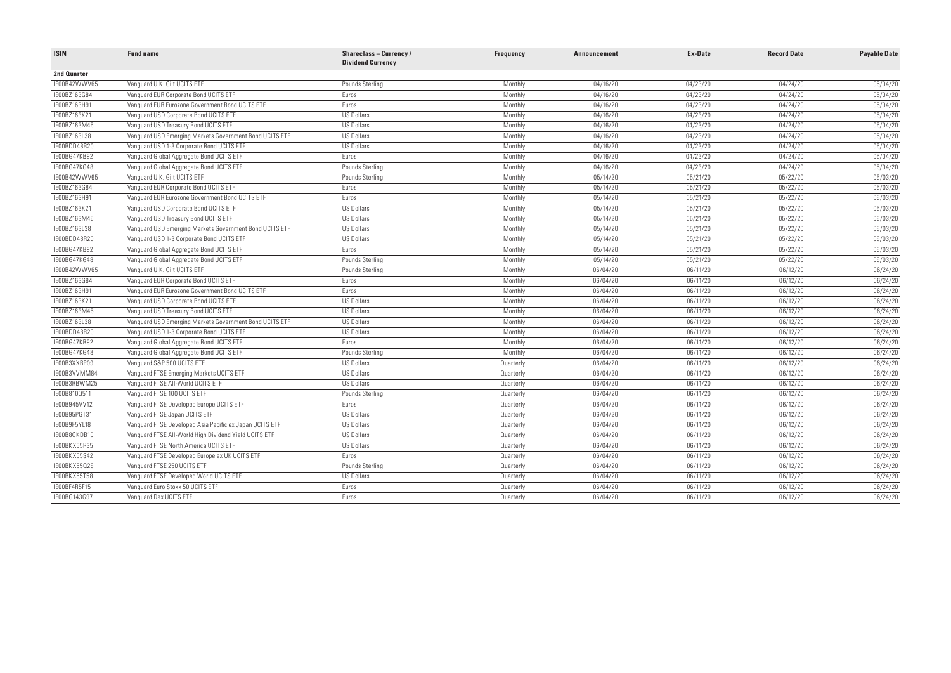| 2nd Quarter<br>Vanguard U.K. Gilt UCITS ETF<br>IE00B42WWV65<br>Pounds Sterling<br>Monthly<br>04/16/20<br>04/23/20<br>04/24/20<br>05/04/20<br>04/23/20<br>04/24/20<br>05/04/20<br>IE00BZ163G84<br>Vanguard EUR Corporate Bond UCITS ETF<br>Monthly<br>04/16/20<br>Euros<br>IE00BZ163H91<br>Vanquard EUR Eurozone Government Bond UCITS ETF<br>04/23/20<br>04/24/20<br>05/04/20<br>Euros<br>Monthly<br>04/16/20<br>05/04/20<br>IE00BZ163K21<br>Vanguard USD Corporate Bond UCITS ETF<br><b>US Dollars</b><br>04/16/20<br>04/23/20<br>04/24/20<br>Monthly<br>IE00BZ163M45<br><b>US Dollars</b><br>04/16/20<br>04/23/20<br>04/24/20<br>05/04/20<br>Vanguard USD Treasury Bond UCITS ETF<br>Monthly<br>05/04/20<br>IE00BZ163L38<br><b>US Dollars</b><br>04/23/20<br>04/24/20<br>Vanquard USD Emerging Markets Government Bond UCITS ETF<br>Monthly<br>04/16/20<br>IE00BDD48R20<br>Vanquard USD 1-3 Corporate Bond UCITS ETF<br><b>US Dollars</b><br>04/23/20<br>04/24/20<br>05/04/20<br>Monthly<br>04/16/20<br>IE00BG47KB92<br>Vanquard Global Aggregate Bond UCITS ETF<br>Euros<br>Monthly<br>04/16/20<br>04/23/20<br>04/24/20<br>05/04/20<br>05/04/20<br>IE00BG47KG48<br>Vanquard Global Aggregate Bond UCITS ETF<br>Pounds Sterling<br>04/16/20<br>04/23/20<br>04/24/20<br>Monthly<br>IE00B42WWV65<br>05/22/20<br>06/03/20<br>Vanquard U.K. Gilt UCITS ETF<br>05/14/20<br>05/21/20<br>Pounds Sterling<br>Monthly<br>05/22/20<br>06/03/20<br>IE00BZ163G84<br>Vanguard EUR Corporate Bond UCITS ETF<br>Euros<br>Monthly<br>05/14/20<br>05/21/20<br>IE00BZ163H91<br>05/22/20<br>06/03/20<br>Vanquard EUR Eurozone Government Bond UCITS ETF<br>Monthly<br>05/14/20<br>05/21/20<br>Euros<br>IE00BZ163K21<br>Vanguard USD Corporate Bond UCITS ETF<br><b>US Dollars</b><br>05/14/20<br>05/21/20<br>05/22/20<br>06/03/20<br>Monthly<br>IE00BZ163M45<br>Vanguard USD Treasury Bond UCITS ETF<br><b>US Dollars</b><br>Monthly<br>05/14/20<br>05/21/20<br>05/22/20<br>06/03/20<br>IE00BZ163L38<br><b>US Dollars</b><br>05/14/20<br>05/21/20<br>05/22/20<br>06/03/20<br>Vanguard USD Emerging Markets Government Bond UCITS ETF<br>Monthly<br>IE00BDD48R20<br>Vanquard USD 1-3 Corporate Bond UCITS ETF<br><b>US Dollars</b><br>05/21/20<br>05/22/20<br>06/03/20<br>Monthly<br>05/14/20<br>06/03/20<br>IE00BG47KB92<br>Vanquard Global Aggregate Bond UCITS ETF<br>05/14/20<br>05/21/20<br>05/22/20<br>Euros<br>Monthly<br>05/22/20<br>IE00BG47KG48<br>Vanquard Global Aggregate Bond UCITS ETF<br>Monthly<br>05/14/20<br>05/21/20<br>06/03/20<br>Pounds Sterling<br>IE00B42WWV65<br>06/12/20<br>06/24/20<br>Vanguard U.K. Gilt UCITS ETF<br>Monthly<br>06/04/20<br>06/11/20<br>Pounds Sterling<br>IE00BZ163G84<br>Vanguard EUR Corporate Bond UCITS ETF<br>06/12/20<br>06/24/20<br>Euros<br>Monthly<br>06/04/20<br>06/11/20<br>IE00BZ163H91<br>Vanquard EUR Eurozone Government Bond UCITS ETF<br>06/12/20<br>06/24/20<br>Euros<br>Monthly<br>06/04/20<br>06/11/20<br>06/12/20<br>06/24/20<br>IE00BZ163K21<br>Vanquard USD Corporate Bond UCITS ETF<br><b>US Dollars</b><br>Monthly<br>06/04/20<br>06/11/20<br>06/12/20<br>06/24/20<br>IE00BZ163M45<br>Vanquard USD Treasury Bond UCITS ETF<br><b>US Dollars</b><br>06/04/20<br>06/11/20<br>Monthly<br>IE00BZ163L38<br>Vanguard USD Emerging Markets Government Bond UCITS ETF<br><b>US Dollars</b><br>06/12/20<br>06/24/20<br>Monthly<br>06/04/20<br>06/11/20<br>IE00BDD48R20<br>06/12/20<br>06/24/20<br>Vanquard USD 1-3 Corporate Bond UCITS ETF<br><b>US Dollars</b><br>06/04/20<br>06/11/20<br>Monthly<br>06/24/20<br>IE00BG47KB92<br>Vanquard Global Aggregate Bond UCITS ETF<br>Euros<br>06/11/20<br>06/12/20<br>Monthly<br>06/04/20<br>06/24/20<br>IE00BG47KG48<br>Vanquard Global Aggregate Bond UCITS ETF<br>06/11/20<br>06/12/20<br>Pounds Sterling<br>Monthly<br>06/04/20<br><b>US Dollars</b><br>06/12/20<br>06/24/20<br>IE00B3XXRP09<br>Vanquard S&P 500 UCITS ETF<br>06/04/20<br>06/11/20<br>Quarterly<br><b>US Dollars</b><br>06/12/20<br>06/24/20<br>IE00B3VVMM84<br>Vanguard FTSE Emerging Markets UCITS ETF<br>06/04/20<br>06/11/20<br>Quarterly<br>06/24/20<br>IE00B3RBWM25<br>Vanguard FTSE All-World UCITS ETF<br><b>US Dollars</b><br>06/12/20<br>06/04/20<br>06/11/20<br>Quarterly<br>06/12/20<br>06/24/20<br>IE00B810Q511<br>Vanguard FTSE 100 UCITS ETF<br>Pounds Sterling<br>06/04/20<br>06/11/20<br>Quarterly<br>06/24/20<br>IE00B945VV12<br>Vanquard FTSE Developed Europe UCITS ETF<br>Euros<br>06/04/20<br>06/11/20<br>06/12/20<br>Quarterly<br>IE00B95PGT31<br><b>US Dollars</b><br>06/12/20<br>06/24/20<br>Vanquard FTSE Japan UCITS ETF<br>06/04/20<br>06/11/20<br>Quarterly<br>06/24/20<br>IE00B9F5YL18<br>Vanquard FTSE Developed Asia Pacific ex Japan UCITS ETF<br><b>US Dollars</b><br>06/12/20<br>Quarterly<br>06/04/20<br>06/11/20<br>IE00B8GKDB10<br>06/12/20<br>06/24/20<br>Vanquard FTSE All-World High Dividend Yield UCITS ETF<br><b>US Dollars</b><br>06/04/20<br>06/11/20<br>Quarterly<br>IE00BKX55R35<br>Vanguard FTSE North America UCITS ETF<br><b>US Dollars</b><br>06/04/20<br>06/11/20<br>06/12/20<br>06/24/20<br>Quarterly<br>06/24/20<br>IE00BKX55S42<br>Vanquard FTSE Developed Europe ex UK UCITS ETF<br>Euros<br>06/04/20<br>06/11/20<br>06/12/20<br>Quarterly<br>IE00BKX55028<br>06/11/20<br>06/12/20<br>06/24/20<br>Vanquard FTSE 250 UCITS ETF<br>Pounds Sterling<br>06/04/20<br>Quarterly<br>IE00BKX55T58<br>Vanquard FTSE Developed World UCITS ETF<br><b>US Dollars</b><br>06/12/20<br>06/24/20<br>06/04/20<br>06/11/20<br>Quarterly<br>IE00BF4R5F15<br>Vanguard Euro Stoxx 50 UCITS ETF<br>Euros<br>06/12/20<br>06/24/20<br>Quarterly<br>06/04/20<br>06/11/20<br>06/12/20<br>06/24/20<br>IE00BG143G97<br>Vanquard Dax UCITS ETF<br>06/04/20<br>06/11/20<br>Euros<br>Quarterly | <b>ISIN</b> | <b>Fund name</b> | Shareclass-Currency/<br><b>Dividend Currency</b> | Frequency | <b>Announcement</b> | Ex-Date | <b>Record Date</b> | <b>Payable Date</b> |
|--------------------------------------------------------------------------------------------------------------------------------------------------------------------------------------------------------------------------------------------------------------------------------------------------------------------------------------------------------------------------------------------------------------------------------------------------------------------------------------------------------------------------------------------------------------------------------------------------------------------------------------------------------------------------------------------------------------------------------------------------------------------------------------------------------------------------------------------------------------------------------------------------------------------------------------------------------------------------------------------------------------------------------------------------------------------------------------------------------------------------------------------------------------------------------------------------------------------------------------------------------------------------------------------------------------------------------------------------------------------------------------------------------------------------------------------------------------------------------------------------------------------------------------------------------------------------------------------------------------------------------------------------------------------------------------------------------------------------------------------------------------------------------------------------------------------------------------------------------------------------------------------------------------------------------------------------------------------------------------------------------------------------------------------------------------------------------------------------------------------------------------------------------------------------------------------------------------------------------------------------------------------------------------------------------------------------------------------------------------------------------------------------------------------------------------------------------------------------------------------------------------------------------------------------------------------------------------------------------------------------------------------------------------------------------------------------------------------------------------------------------------------------------------------------------------------------------------------------------------------------------------------------------------------------------------------------------------------------------------------------------------------------------------------------------------------------------------------------------------------------------------------------------------------------------------------------------------------------------------------------------------------------------------------------------------------------------------------------------------------------------------------------------------------------------------------------------------------------------------------------------------------------------------------------------------------------------------------------------------------------------------------------------------------------------------------------------------------------------------------------------------------------------------------------------------------------------------------------------------------------------------------------------------------------------------------------------------------------------------------------------------------------------------------------------------------------------------------------------------------------------------------------------------------------------------------------------------------------------------------------------------------------------------------------------------------------------------------------------------------------------------------------------------------------------------------------------------------------------------------------------------------------------------------------------------------------------------------------------------------------------------------------------------------------------------------------------------------------------------------------------------------------------------------------------------------------------------------------------------------------------------------------------------------------------------------------------------------------------------------------------------------------------------------------------------------------------------------------------------------------------------------------------------------------------------------------------------------------------------------------------------------------------------------------------------------------------------------------------------------------------------------------------------------------------------------------------------------------------------------------------------------------------------------------------------------------------------------------------------------------------------------------------------------------------------------------------------------------------------------------------------------------------------|-------------|------------------|--------------------------------------------------|-----------|---------------------|---------|--------------------|---------------------|
|                                                                                                                                                                                                                                                                                                                                                                                                                                                                                                                                                                                                                                                                                                                                                                                                                                                                                                                                                                                                                                                                                                                                                                                                                                                                                                                                                                                                                                                                                                                                                                                                                                                                                                                                                                                                                                                                                                                                                                                                                                                                                                                                                                                                                                                                                                                                                                                                                                                                                                                                                                                                                                                                                                                                                                                                                                                                                                                                                                                                                                                                                                                                                                                                                                                                                                                                                                                                                                                                                                                                                                                                                                                                                                                                                                                                                                                                                                                                                                                                                                                                                                                                                                                                                                                                                                                                                                                                                                                                                                                                                                                                                                                                                                                                                                                                                                                                                                                                                                                                                                                                                                                                                                                                                                                                                                                                                                                                                                                                                                                                                                                                                                                                                                                                                                                      |             |                  |                                                  |           |                     |         |                    |                     |
|                                                                                                                                                                                                                                                                                                                                                                                                                                                                                                                                                                                                                                                                                                                                                                                                                                                                                                                                                                                                                                                                                                                                                                                                                                                                                                                                                                                                                                                                                                                                                                                                                                                                                                                                                                                                                                                                                                                                                                                                                                                                                                                                                                                                                                                                                                                                                                                                                                                                                                                                                                                                                                                                                                                                                                                                                                                                                                                                                                                                                                                                                                                                                                                                                                                                                                                                                                                                                                                                                                                                                                                                                                                                                                                                                                                                                                                                                                                                                                                                                                                                                                                                                                                                                                                                                                                                                                                                                                                                                                                                                                                                                                                                                                                                                                                                                                                                                                                                                                                                                                                                                                                                                                                                                                                                                                                                                                                                                                                                                                                                                                                                                                                                                                                                                                                      |             |                  |                                                  |           |                     |         |                    |                     |
|                                                                                                                                                                                                                                                                                                                                                                                                                                                                                                                                                                                                                                                                                                                                                                                                                                                                                                                                                                                                                                                                                                                                                                                                                                                                                                                                                                                                                                                                                                                                                                                                                                                                                                                                                                                                                                                                                                                                                                                                                                                                                                                                                                                                                                                                                                                                                                                                                                                                                                                                                                                                                                                                                                                                                                                                                                                                                                                                                                                                                                                                                                                                                                                                                                                                                                                                                                                                                                                                                                                                                                                                                                                                                                                                                                                                                                                                                                                                                                                                                                                                                                                                                                                                                                                                                                                                                                                                                                                                                                                                                                                                                                                                                                                                                                                                                                                                                                                                                                                                                                                                                                                                                                                                                                                                                                                                                                                                                                                                                                                                                                                                                                                                                                                                                                                      |             |                  |                                                  |           |                     |         |                    |                     |
|                                                                                                                                                                                                                                                                                                                                                                                                                                                                                                                                                                                                                                                                                                                                                                                                                                                                                                                                                                                                                                                                                                                                                                                                                                                                                                                                                                                                                                                                                                                                                                                                                                                                                                                                                                                                                                                                                                                                                                                                                                                                                                                                                                                                                                                                                                                                                                                                                                                                                                                                                                                                                                                                                                                                                                                                                                                                                                                                                                                                                                                                                                                                                                                                                                                                                                                                                                                                                                                                                                                                                                                                                                                                                                                                                                                                                                                                                                                                                                                                                                                                                                                                                                                                                                                                                                                                                                                                                                                                                                                                                                                                                                                                                                                                                                                                                                                                                                                                                                                                                                                                                                                                                                                                                                                                                                                                                                                                                                                                                                                                                                                                                                                                                                                                                                                      |             |                  |                                                  |           |                     |         |                    |                     |
|                                                                                                                                                                                                                                                                                                                                                                                                                                                                                                                                                                                                                                                                                                                                                                                                                                                                                                                                                                                                                                                                                                                                                                                                                                                                                                                                                                                                                                                                                                                                                                                                                                                                                                                                                                                                                                                                                                                                                                                                                                                                                                                                                                                                                                                                                                                                                                                                                                                                                                                                                                                                                                                                                                                                                                                                                                                                                                                                                                                                                                                                                                                                                                                                                                                                                                                                                                                                                                                                                                                                                                                                                                                                                                                                                                                                                                                                                                                                                                                                                                                                                                                                                                                                                                                                                                                                                                                                                                                                                                                                                                                                                                                                                                                                                                                                                                                                                                                                                                                                                                                                                                                                                                                                                                                                                                                                                                                                                                                                                                                                                                                                                                                                                                                                                                                      |             |                  |                                                  |           |                     |         |                    |                     |
|                                                                                                                                                                                                                                                                                                                                                                                                                                                                                                                                                                                                                                                                                                                                                                                                                                                                                                                                                                                                                                                                                                                                                                                                                                                                                                                                                                                                                                                                                                                                                                                                                                                                                                                                                                                                                                                                                                                                                                                                                                                                                                                                                                                                                                                                                                                                                                                                                                                                                                                                                                                                                                                                                                                                                                                                                                                                                                                                                                                                                                                                                                                                                                                                                                                                                                                                                                                                                                                                                                                                                                                                                                                                                                                                                                                                                                                                                                                                                                                                                                                                                                                                                                                                                                                                                                                                                                                                                                                                                                                                                                                                                                                                                                                                                                                                                                                                                                                                                                                                                                                                                                                                                                                                                                                                                                                                                                                                                                                                                                                                                                                                                                                                                                                                                                                      |             |                  |                                                  |           |                     |         |                    |                     |
|                                                                                                                                                                                                                                                                                                                                                                                                                                                                                                                                                                                                                                                                                                                                                                                                                                                                                                                                                                                                                                                                                                                                                                                                                                                                                                                                                                                                                                                                                                                                                                                                                                                                                                                                                                                                                                                                                                                                                                                                                                                                                                                                                                                                                                                                                                                                                                                                                                                                                                                                                                                                                                                                                                                                                                                                                                                                                                                                                                                                                                                                                                                                                                                                                                                                                                                                                                                                                                                                                                                                                                                                                                                                                                                                                                                                                                                                                                                                                                                                                                                                                                                                                                                                                                                                                                                                                                                                                                                                                                                                                                                                                                                                                                                                                                                                                                                                                                                                                                                                                                                                                                                                                                                                                                                                                                                                                                                                                                                                                                                                                                                                                                                                                                                                                                                      |             |                  |                                                  |           |                     |         |                    |                     |
|                                                                                                                                                                                                                                                                                                                                                                                                                                                                                                                                                                                                                                                                                                                                                                                                                                                                                                                                                                                                                                                                                                                                                                                                                                                                                                                                                                                                                                                                                                                                                                                                                                                                                                                                                                                                                                                                                                                                                                                                                                                                                                                                                                                                                                                                                                                                                                                                                                                                                                                                                                                                                                                                                                                                                                                                                                                                                                                                                                                                                                                                                                                                                                                                                                                                                                                                                                                                                                                                                                                                                                                                                                                                                                                                                                                                                                                                                                                                                                                                                                                                                                                                                                                                                                                                                                                                                                                                                                                                                                                                                                                                                                                                                                                                                                                                                                                                                                                                                                                                                                                                                                                                                                                                                                                                                                                                                                                                                                                                                                                                                                                                                                                                                                                                                                                      |             |                  |                                                  |           |                     |         |                    |                     |
|                                                                                                                                                                                                                                                                                                                                                                                                                                                                                                                                                                                                                                                                                                                                                                                                                                                                                                                                                                                                                                                                                                                                                                                                                                                                                                                                                                                                                                                                                                                                                                                                                                                                                                                                                                                                                                                                                                                                                                                                                                                                                                                                                                                                                                                                                                                                                                                                                                                                                                                                                                                                                                                                                                                                                                                                                                                                                                                                                                                                                                                                                                                                                                                                                                                                                                                                                                                                                                                                                                                                                                                                                                                                                                                                                                                                                                                                                                                                                                                                                                                                                                                                                                                                                                                                                                                                                                                                                                                                                                                                                                                                                                                                                                                                                                                                                                                                                                                                                                                                                                                                                                                                                                                                                                                                                                                                                                                                                                                                                                                                                                                                                                                                                                                                                                                      |             |                  |                                                  |           |                     |         |                    |                     |
|                                                                                                                                                                                                                                                                                                                                                                                                                                                                                                                                                                                                                                                                                                                                                                                                                                                                                                                                                                                                                                                                                                                                                                                                                                                                                                                                                                                                                                                                                                                                                                                                                                                                                                                                                                                                                                                                                                                                                                                                                                                                                                                                                                                                                                                                                                                                                                                                                                                                                                                                                                                                                                                                                                                                                                                                                                                                                                                                                                                                                                                                                                                                                                                                                                                                                                                                                                                                                                                                                                                                                                                                                                                                                                                                                                                                                                                                                                                                                                                                                                                                                                                                                                                                                                                                                                                                                                                                                                                                                                                                                                                                                                                                                                                                                                                                                                                                                                                                                                                                                                                                                                                                                                                                                                                                                                                                                                                                                                                                                                                                                                                                                                                                                                                                                                                      |             |                  |                                                  |           |                     |         |                    |                     |
|                                                                                                                                                                                                                                                                                                                                                                                                                                                                                                                                                                                                                                                                                                                                                                                                                                                                                                                                                                                                                                                                                                                                                                                                                                                                                                                                                                                                                                                                                                                                                                                                                                                                                                                                                                                                                                                                                                                                                                                                                                                                                                                                                                                                                                                                                                                                                                                                                                                                                                                                                                                                                                                                                                                                                                                                                                                                                                                                                                                                                                                                                                                                                                                                                                                                                                                                                                                                                                                                                                                                                                                                                                                                                                                                                                                                                                                                                                                                                                                                                                                                                                                                                                                                                                                                                                                                                                                                                                                                                                                                                                                                                                                                                                                                                                                                                                                                                                                                                                                                                                                                                                                                                                                                                                                                                                                                                                                                                                                                                                                                                                                                                                                                                                                                                                                      |             |                  |                                                  |           |                     |         |                    |                     |
|                                                                                                                                                                                                                                                                                                                                                                                                                                                                                                                                                                                                                                                                                                                                                                                                                                                                                                                                                                                                                                                                                                                                                                                                                                                                                                                                                                                                                                                                                                                                                                                                                                                                                                                                                                                                                                                                                                                                                                                                                                                                                                                                                                                                                                                                                                                                                                                                                                                                                                                                                                                                                                                                                                                                                                                                                                                                                                                                                                                                                                                                                                                                                                                                                                                                                                                                                                                                                                                                                                                                                                                                                                                                                                                                                                                                                                                                                                                                                                                                                                                                                                                                                                                                                                                                                                                                                                                                                                                                                                                                                                                                                                                                                                                                                                                                                                                                                                                                                                                                                                                                                                                                                                                                                                                                                                                                                                                                                                                                                                                                                                                                                                                                                                                                                                                      |             |                  |                                                  |           |                     |         |                    |                     |
|                                                                                                                                                                                                                                                                                                                                                                                                                                                                                                                                                                                                                                                                                                                                                                                                                                                                                                                                                                                                                                                                                                                                                                                                                                                                                                                                                                                                                                                                                                                                                                                                                                                                                                                                                                                                                                                                                                                                                                                                                                                                                                                                                                                                                                                                                                                                                                                                                                                                                                                                                                                                                                                                                                                                                                                                                                                                                                                                                                                                                                                                                                                                                                                                                                                                                                                                                                                                                                                                                                                                                                                                                                                                                                                                                                                                                                                                                                                                                                                                                                                                                                                                                                                                                                                                                                                                                                                                                                                                                                                                                                                                                                                                                                                                                                                                                                                                                                                                                                                                                                                                                                                                                                                                                                                                                                                                                                                                                                                                                                                                                                                                                                                                                                                                                                                      |             |                  |                                                  |           |                     |         |                    |                     |
|                                                                                                                                                                                                                                                                                                                                                                                                                                                                                                                                                                                                                                                                                                                                                                                                                                                                                                                                                                                                                                                                                                                                                                                                                                                                                                                                                                                                                                                                                                                                                                                                                                                                                                                                                                                                                                                                                                                                                                                                                                                                                                                                                                                                                                                                                                                                                                                                                                                                                                                                                                                                                                                                                                                                                                                                                                                                                                                                                                                                                                                                                                                                                                                                                                                                                                                                                                                                                                                                                                                                                                                                                                                                                                                                                                                                                                                                                                                                                                                                                                                                                                                                                                                                                                                                                                                                                                                                                                                                                                                                                                                                                                                                                                                                                                                                                                                                                                                                                                                                                                                                                                                                                                                                                                                                                                                                                                                                                                                                                                                                                                                                                                                                                                                                                                                      |             |                  |                                                  |           |                     |         |                    |                     |
|                                                                                                                                                                                                                                                                                                                                                                                                                                                                                                                                                                                                                                                                                                                                                                                                                                                                                                                                                                                                                                                                                                                                                                                                                                                                                                                                                                                                                                                                                                                                                                                                                                                                                                                                                                                                                                                                                                                                                                                                                                                                                                                                                                                                                                                                                                                                                                                                                                                                                                                                                                                                                                                                                                                                                                                                                                                                                                                                                                                                                                                                                                                                                                                                                                                                                                                                                                                                                                                                                                                                                                                                                                                                                                                                                                                                                                                                                                                                                                                                                                                                                                                                                                                                                                                                                                                                                                                                                                                                                                                                                                                                                                                                                                                                                                                                                                                                                                                                                                                                                                                                                                                                                                                                                                                                                                                                                                                                                                                                                                                                                                                                                                                                                                                                                                                      |             |                  |                                                  |           |                     |         |                    |                     |
|                                                                                                                                                                                                                                                                                                                                                                                                                                                                                                                                                                                                                                                                                                                                                                                                                                                                                                                                                                                                                                                                                                                                                                                                                                                                                                                                                                                                                                                                                                                                                                                                                                                                                                                                                                                                                                                                                                                                                                                                                                                                                                                                                                                                                                                                                                                                                                                                                                                                                                                                                                                                                                                                                                                                                                                                                                                                                                                                                                                                                                                                                                                                                                                                                                                                                                                                                                                                                                                                                                                                                                                                                                                                                                                                                                                                                                                                                                                                                                                                                                                                                                                                                                                                                                                                                                                                                                                                                                                                                                                                                                                                                                                                                                                                                                                                                                                                                                                                                                                                                                                                                                                                                                                                                                                                                                                                                                                                                                                                                                                                                                                                                                                                                                                                                                                      |             |                  |                                                  |           |                     |         |                    |                     |
|                                                                                                                                                                                                                                                                                                                                                                                                                                                                                                                                                                                                                                                                                                                                                                                                                                                                                                                                                                                                                                                                                                                                                                                                                                                                                                                                                                                                                                                                                                                                                                                                                                                                                                                                                                                                                                                                                                                                                                                                                                                                                                                                                                                                                                                                                                                                                                                                                                                                                                                                                                                                                                                                                                                                                                                                                                                                                                                                                                                                                                                                                                                                                                                                                                                                                                                                                                                                                                                                                                                                                                                                                                                                                                                                                                                                                                                                                                                                                                                                                                                                                                                                                                                                                                                                                                                                                                                                                                                                                                                                                                                                                                                                                                                                                                                                                                                                                                                                                                                                                                                                                                                                                                                                                                                                                                                                                                                                                                                                                                                                                                                                                                                                                                                                                                                      |             |                  |                                                  |           |                     |         |                    |                     |
|                                                                                                                                                                                                                                                                                                                                                                                                                                                                                                                                                                                                                                                                                                                                                                                                                                                                                                                                                                                                                                                                                                                                                                                                                                                                                                                                                                                                                                                                                                                                                                                                                                                                                                                                                                                                                                                                                                                                                                                                                                                                                                                                                                                                                                                                                                                                                                                                                                                                                                                                                                                                                                                                                                                                                                                                                                                                                                                                                                                                                                                                                                                                                                                                                                                                                                                                                                                                                                                                                                                                                                                                                                                                                                                                                                                                                                                                                                                                                                                                                                                                                                                                                                                                                                                                                                                                                                                                                                                                                                                                                                                                                                                                                                                                                                                                                                                                                                                                                                                                                                                                                                                                                                                                                                                                                                                                                                                                                                                                                                                                                                                                                                                                                                                                                                                      |             |                  |                                                  |           |                     |         |                    |                     |
|                                                                                                                                                                                                                                                                                                                                                                                                                                                                                                                                                                                                                                                                                                                                                                                                                                                                                                                                                                                                                                                                                                                                                                                                                                                                                                                                                                                                                                                                                                                                                                                                                                                                                                                                                                                                                                                                                                                                                                                                                                                                                                                                                                                                                                                                                                                                                                                                                                                                                                                                                                                                                                                                                                                                                                                                                                                                                                                                                                                                                                                                                                                                                                                                                                                                                                                                                                                                                                                                                                                                                                                                                                                                                                                                                                                                                                                                                                                                                                                                                                                                                                                                                                                                                                                                                                                                                                                                                                                                                                                                                                                                                                                                                                                                                                                                                                                                                                                                                                                                                                                                                                                                                                                                                                                                                                                                                                                                                                                                                                                                                                                                                                                                                                                                                                                      |             |                  |                                                  |           |                     |         |                    |                     |
|                                                                                                                                                                                                                                                                                                                                                                                                                                                                                                                                                                                                                                                                                                                                                                                                                                                                                                                                                                                                                                                                                                                                                                                                                                                                                                                                                                                                                                                                                                                                                                                                                                                                                                                                                                                                                                                                                                                                                                                                                                                                                                                                                                                                                                                                                                                                                                                                                                                                                                                                                                                                                                                                                                                                                                                                                                                                                                                                                                                                                                                                                                                                                                                                                                                                                                                                                                                                                                                                                                                                                                                                                                                                                                                                                                                                                                                                                                                                                                                                                                                                                                                                                                                                                                                                                                                                                                                                                                                                                                                                                                                                                                                                                                                                                                                                                                                                                                                                                                                                                                                                                                                                                                                                                                                                                                                                                                                                                                                                                                                                                                                                                                                                                                                                                                                      |             |                  |                                                  |           |                     |         |                    |                     |
|                                                                                                                                                                                                                                                                                                                                                                                                                                                                                                                                                                                                                                                                                                                                                                                                                                                                                                                                                                                                                                                                                                                                                                                                                                                                                                                                                                                                                                                                                                                                                                                                                                                                                                                                                                                                                                                                                                                                                                                                                                                                                                                                                                                                                                                                                                                                                                                                                                                                                                                                                                                                                                                                                                                                                                                                                                                                                                                                                                                                                                                                                                                                                                                                                                                                                                                                                                                                                                                                                                                                                                                                                                                                                                                                                                                                                                                                                                                                                                                                                                                                                                                                                                                                                                                                                                                                                                                                                                                                                                                                                                                                                                                                                                                                                                                                                                                                                                                                                                                                                                                                                                                                                                                                                                                                                                                                                                                                                                                                                                                                                                                                                                                                                                                                                                                      |             |                  |                                                  |           |                     |         |                    |                     |
|                                                                                                                                                                                                                                                                                                                                                                                                                                                                                                                                                                                                                                                                                                                                                                                                                                                                                                                                                                                                                                                                                                                                                                                                                                                                                                                                                                                                                                                                                                                                                                                                                                                                                                                                                                                                                                                                                                                                                                                                                                                                                                                                                                                                                                                                                                                                                                                                                                                                                                                                                                                                                                                                                                                                                                                                                                                                                                                                                                                                                                                                                                                                                                                                                                                                                                                                                                                                                                                                                                                                                                                                                                                                                                                                                                                                                                                                                                                                                                                                                                                                                                                                                                                                                                                                                                                                                                                                                                                                                                                                                                                                                                                                                                                                                                                                                                                                                                                                                                                                                                                                                                                                                                                                                                                                                                                                                                                                                                                                                                                                                                                                                                                                                                                                                                                      |             |                  |                                                  |           |                     |         |                    |                     |
|                                                                                                                                                                                                                                                                                                                                                                                                                                                                                                                                                                                                                                                                                                                                                                                                                                                                                                                                                                                                                                                                                                                                                                                                                                                                                                                                                                                                                                                                                                                                                                                                                                                                                                                                                                                                                                                                                                                                                                                                                                                                                                                                                                                                                                                                                                                                                                                                                                                                                                                                                                                                                                                                                                                                                                                                                                                                                                                                                                                                                                                                                                                                                                                                                                                                                                                                                                                                                                                                                                                                                                                                                                                                                                                                                                                                                                                                                                                                                                                                                                                                                                                                                                                                                                                                                                                                                                                                                                                                                                                                                                                                                                                                                                                                                                                                                                                                                                                                                                                                                                                                                                                                                                                                                                                                                                                                                                                                                                                                                                                                                                                                                                                                                                                                                                                      |             |                  |                                                  |           |                     |         |                    |                     |
|                                                                                                                                                                                                                                                                                                                                                                                                                                                                                                                                                                                                                                                                                                                                                                                                                                                                                                                                                                                                                                                                                                                                                                                                                                                                                                                                                                                                                                                                                                                                                                                                                                                                                                                                                                                                                                                                                                                                                                                                                                                                                                                                                                                                                                                                                                                                                                                                                                                                                                                                                                                                                                                                                                                                                                                                                                                                                                                                                                                                                                                                                                                                                                                                                                                                                                                                                                                                                                                                                                                                                                                                                                                                                                                                                                                                                                                                                                                                                                                                                                                                                                                                                                                                                                                                                                                                                                                                                                                                                                                                                                                                                                                                                                                                                                                                                                                                                                                                                                                                                                                                                                                                                                                                                                                                                                                                                                                                                                                                                                                                                                                                                                                                                                                                                                                      |             |                  |                                                  |           |                     |         |                    |                     |
|                                                                                                                                                                                                                                                                                                                                                                                                                                                                                                                                                                                                                                                                                                                                                                                                                                                                                                                                                                                                                                                                                                                                                                                                                                                                                                                                                                                                                                                                                                                                                                                                                                                                                                                                                                                                                                                                                                                                                                                                                                                                                                                                                                                                                                                                                                                                                                                                                                                                                                                                                                                                                                                                                                                                                                                                                                                                                                                                                                                                                                                                                                                                                                                                                                                                                                                                                                                                                                                                                                                                                                                                                                                                                                                                                                                                                                                                                                                                                                                                                                                                                                                                                                                                                                                                                                                                                                                                                                                                                                                                                                                                                                                                                                                                                                                                                                                                                                                                                                                                                                                                                                                                                                                                                                                                                                                                                                                                                                                                                                                                                                                                                                                                                                                                                                                      |             |                  |                                                  |           |                     |         |                    |                     |
|                                                                                                                                                                                                                                                                                                                                                                                                                                                                                                                                                                                                                                                                                                                                                                                                                                                                                                                                                                                                                                                                                                                                                                                                                                                                                                                                                                                                                                                                                                                                                                                                                                                                                                                                                                                                                                                                                                                                                                                                                                                                                                                                                                                                                                                                                                                                                                                                                                                                                                                                                                                                                                                                                                                                                                                                                                                                                                                                                                                                                                                                                                                                                                                                                                                                                                                                                                                                                                                                                                                                                                                                                                                                                                                                                                                                                                                                                                                                                                                                                                                                                                                                                                                                                                                                                                                                                                                                                                                                                                                                                                                                                                                                                                                                                                                                                                                                                                                                                                                                                                                                                                                                                                                                                                                                                                                                                                                                                                                                                                                                                                                                                                                                                                                                                                                      |             |                  |                                                  |           |                     |         |                    |                     |
|                                                                                                                                                                                                                                                                                                                                                                                                                                                                                                                                                                                                                                                                                                                                                                                                                                                                                                                                                                                                                                                                                                                                                                                                                                                                                                                                                                                                                                                                                                                                                                                                                                                                                                                                                                                                                                                                                                                                                                                                                                                                                                                                                                                                                                                                                                                                                                                                                                                                                                                                                                                                                                                                                                                                                                                                                                                                                                                                                                                                                                                                                                                                                                                                                                                                                                                                                                                                                                                                                                                                                                                                                                                                                                                                                                                                                                                                                                                                                                                                                                                                                                                                                                                                                                                                                                                                                                                                                                                                                                                                                                                                                                                                                                                                                                                                                                                                                                                                                                                                                                                                                                                                                                                                                                                                                                                                                                                                                                                                                                                                                                                                                                                                                                                                                                                      |             |                  |                                                  |           |                     |         |                    |                     |
|                                                                                                                                                                                                                                                                                                                                                                                                                                                                                                                                                                                                                                                                                                                                                                                                                                                                                                                                                                                                                                                                                                                                                                                                                                                                                                                                                                                                                                                                                                                                                                                                                                                                                                                                                                                                                                                                                                                                                                                                                                                                                                                                                                                                                                                                                                                                                                                                                                                                                                                                                                                                                                                                                                                                                                                                                                                                                                                                                                                                                                                                                                                                                                                                                                                                                                                                                                                                                                                                                                                                                                                                                                                                                                                                                                                                                                                                                                                                                                                                                                                                                                                                                                                                                                                                                                                                                                                                                                                                                                                                                                                                                                                                                                                                                                                                                                                                                                                                                                                                                                                                                                                                                                                                                                                                                                                                                                                                                                                                                                                                                                                                                                                                                                                                                                                      |             |                  |                                                  |           |                     |         |                    |                     |
|                                                                                                                                                                                                                                                                                                                                                                                                                                                                                                                                                                                                                                                                                                                                                                                                                                                                                                                                                                                                                                                                                                                                                                                                                                                                                                                                                                                                                                                                                                                                                                                                                                                                                                                                                                                                                                                                                                                                                                                                                                                                                                                                                                                                                                                                                                                                                                                                                                                                                                                                                                                                                                                                                                                                                                                                                                                                                                                                                                                                                                                                                                                                                                                                                                                                                                                                                                                                                                                                                                                                                                                                                                                                                                                                                                                                                                                                                                                                                                                                                                                                                                                                                                                                                                                                                                                                                                                                                                                                                                                                                                                                                                                                                                                                                                                                                                                                                                                                                                                                                                                                                                                                                                                                                                                                                                                                                                                                                                                                                                                                                                                                                                                                                                                                                                                      |             |                  |                                                  |           |                     |         |                    |                     |
|                                                                                                                                                                                                                                                                                                                                                                                                                                                                                                                                                                                                                                                                                                                                                                                                                                                                                                                                                                                                                                                                                                                                                                                                                                                                                                                                                                                                                                                                                                                                                                                                                                                                                                                                                                                                                                                                                                                                                                                                                                                                                                                                                                                                                                                                                                                                                                                                                                                                                                                                                                                                                                                                                                                                                                                                                                                                                                                                                                                                                                                                                                                                                                                                                                                                                                                                                                                                                                                                                                                                                                                                                                                                                                                                                                                                                                                                                                                                                                                                                                                                                                                                                                                                                                                                                                                                                                                                                                                                                                                                                                                                                                                                                                                                                                                                                                                                                                                                                                                                                                                                                                                                                                                                                                                                                                                                                                                                                                                                                                                                                                                                                                                                                                                                                                                      |             |                  |                                                  |           |                     |         |                    |                     |
|                                                                                                                                                                                                                                                                                                                                                                                                                                                                                                                                                                                                                                                                                                                                                                                                                                                                                                                                                                                                                                                                                                                                                                                                                                                                                                                                                                                                                                                                                                                                                                                                                                                                                                                                                                                                                                                                                                                                                                                                                                                                                                                                                                                                                                                                                                                                                                                                                                                                                                                                                                                                                                                                                                                                                                                                                                                                                                                                                                                                                                                                                                                                                                                                                                                                                                                                                                                                                                                                                                                                                                                                                                                                                                                                                                                                                                                                                                                                                                                                                                                                                                                                                                                                                                                                                                                                                                                                                                                                                                                                                                                                                                                                                                                                                                                                                                                                                                                                                                                                                                                                                                                                                                                                                                                                                                                                                                                                                                                                                                                                                                                                                                                                                                                                                                                      |             |                  |                                                  |           |                     |         |                    |                     |
|                                                                                                                                                                                                                                                                                                                                                                                                                                                                                                                                                                                                                                                                                                                                                                                                                                                                                                                                                                                                                                                                                                                                                                                                                                                                                                                                                                                                                                                                                                                                                                                                                                                                                                                                                                                                                                                                                                                                                                                                                                                                                                                                                                                                                                                                                                                                                                                                                                                                                                                                                                                                                                                                                                                                                                                                                                                                                                                                                                                                                                                                                                                                                                                                                                                                                                                                                                                                                                                                                                                                                                                                                                                                                                                                                                                                                                                                                                                                                                                                                                                                                                                                                                                                                                                                                                                                                                                                                                                                                                                                                                                                                                                                                                                                                                                                                                                                                                                                                                                                                                                                                                                                                                                                                                                                                                                                                                                                                                                                                                                                                                                                                                                                                                                                                                                      |             |                  |                                                  |           |                     |         |                    |                     |
|                                                                                                                                                                                                                                                                                                                                                                                                                                                                                                                                                                                                                                                                                                                                                                                                                                                                                                                                                                                                                                                                                                                                                                                                                                                                                                                                                                                                                                                                                                                                                                                                                                                                                                                                                                                                                                                                                                                                                                                                                                                                                                                                                                                                                                                                                                                                                                                                                                                                                                                                                                                                                                                                                                                                                                                                                                                                                                                                                                                                                                                                                                                                                                                                                                                                                                                                                                                                                                                                                                                                                                                                                                                                                                                                                                                                                                                                                                                                                                                                                                                                                                                                                                                                                                                                                                                                                                                                                                                                                                                                                                                                                                                                                                                                                                                                                                                                                                                                                                                                                                                                                                                                                                                                                                                                                                                                                                                                                                                                                                                                                                                                                                                                                                                                                                                      |             |                  |                                                  |           |                     |         |                    |                     |
|                                                                                                                                                                                                                                                                                                                                                                                                                                                                                                                                                                                                                                                                                                                                                                                                                                                                                                                                                                                                                                                                                                                                                                                                                                                                                                                                                                                                                                                                                                                                                                                                                                                                                                                                                                                                                                                                                                                                                                                                                                                                                                                                                                                                                                                                                                                                                                                                                                                                                                                                                                                                                                                                                                                                                                                                                                                                                                                                                                                                                                                                                                                                                                                                                                                                                                                                                                                                                                                                                                                                                                                                                                                                                                                                                                                                                                                                                                                                                                                                                                                                                                                                                                                                                                                                                                                                                                                                                                                                                                                                                                                                                                                                                                                                                                                                                                                                                                                                                                                                                                                                                                                                                                                                                                                                                                                                                                                                                                                                                                                                                                                                                                                                                                                                                                                      |             |                  |                                                  |           |                     |         |                    |                     |
|                                                                                                                                                                                                                                                                                                                                                                                                                                                                                                                                                                                                                                                                                                                                                                                                                                                                                                                                                                                                                                                                                                                                                                                                                                                                                                                                                                                                                                                                                                                                                                                                                                                                                                                                                                                                                                                                                                                                                                                                                                                                                                                                                                                                                                                                                                                                                                                                                                                                                                                                                                                                                                                                                                                                                                                                                                                                                                                                                                                                                                                                                                                                                                                                                                                                                                                                                                                                                                                                                                                                                                                                                                                                                                                                                                                                                                                                                                                                                                                                                                                                                                                                                                                                                                                                                                                                                                                                                                                                                                                                                                                                                                                                                                                                                                                                                                                                                                                                                                                                                                                                                                                                                                                                                                                                                                                                                                                                                                                                                                                                                                                                                                                                                                                                                                                      |             |                  |                                                  |           |                     |         |                    |                     |
|                                                                                                                                                                                                                                                                                                                                                                                                                                                                                                                                                                                                                                                                                                                                                                                                                                                                                                                                                                                                                                                                                                                                                                                                                                                                                                                                                                                                                                                                                                                                                                                                                                                                                                                                                                                                                                                                                                                                                                                                                                                                                                                                                                                                                                                                                                                                                                                                                                                                                                                                                                                                                                                                                                                                                                                                                                                                                                                                                                                                                                                                                                                                                                                                                                                                                                                                                                                                                                                                                                                                                                                                                                                                                                                                                                                                                                                                                                                                                                                                                                                                                                                                                                                                                                                                                                                                                                                                                                                                                                                                                                                                                                                                                                                                                                                                                                                                                                                                                                                                                                                                                                                                                                                                                                                                                                                                                                                                                                                                                                                                                                                                                                                                                                                                                                                      |             |                  |                                                  |           |                     |         |                    |                     |
|                                                                                                                                                                                                                                                                                                                                                                                                                                                                                                                                                                                                                                                                                                                                                                                                                                                                                                                                                                                                                                                                                                                                                                                                                                                                                                                                                                                                                                                                                                                                                                                                                                                                                                                                                                                                                                                                                                                                                                                                                                                                                                                                                                                                                                                                                                                                                                                                                                                                                                                                                                                                                                                                                                                                                                                                                                                                                                                                                                                                                                                                                                                                                                                                                                                                                                                                                                                                                                                                                                                                                                                                                                                                                                                                                                                                                                                                                                                                                                                                                                                                                                                                                                                                                                                                                                                                                                                                                                                                                                                                                                                                                                                                                                                                                                                                                                                                                                                                                                                                                                                                                                                                                                                                                                                                                                                                                                                                                                                                                                                                                                                                                                                                                                                                                                                      |             |                  |                                                  |           |                     |         |                    |                     |
|                                                                                                                                                                                                                                                                                                                                                                                                                                                                                                                                                                                                                                                                                                                                                                                                                                                                                                                                                                                                                                                                                                                                                                                                                                                                                                                                                                                                                                                                                                                                                                                                                                                                                                                                                                                                                                                                                                                                                                                                                                                                                                                                                                                                                                                                                                                                                                                                                                                                                                                                                                                                                                                                                                                                                                                                                                                                                                                                                                                                                                                                                                                                                                                                                                                                                                                                                                                                                                                                                                                                                                                                                                                                                                                                                                                                                                                                                                                                                                                                                                                                                                                                                                                                                                                                                                                                                                                                                                                                                                                                                                                                                                                                                                                                                                                                                                                                                                                                                                                                                                                                                                                                                                                                                                                                                                                                                                                                                                                                                                                                                                                                                                                                                                                                                                                      |             |                  |                                                  |           |                     |         |                    |                     |
|                                                                                                                                                                                                                                                                                                                                                                                                                                                                                                                                                                                                                                                                                                                                                                                                                                                                                                                                                                                                                                                                                                                                                                                                                                                                                                                                                                                                                                                                                                                                                                                                                                                                                                                                                                                                                                                                                                                                                                                                                                                                                                                                                                                                                                                                                                                                                                                                                                                                                                                                                                                                                                                                                                                                                                                                                                                                                                                                                                                                                                                                                                                                                                                                                                                                                                                                                                                                                                                                                                                                                                                                                                                                                                                                                                                                                                                                                                                                                                                                                                                                                                                                                                                                                                                                                                                                                                                                                                                                                                                                                                                                                                                                                                                                                                                                                                                                                                                                                                                                                                                                                                                                                                                                                                                                                                                                                                                                                                                                                                                                                                                                                                                                                                                                                                                      |             |                  |                                                  |           |                     |         |                    |                     |
|                                                                                                                                                                                                                                                                                                                                                                                                                                                                                                                                                                                                                                                                                                                                                                                                                                                                                                                                                                                                                                                                                                                                                                                                                                                                                                                                                                                                                                                                                                                                                                                                                                                                                                                                                                                                                                                                                                                                                                                                                                                                                                                                                                                                                                                                                                                                                                                                                                                                                                                                                                                                                                                                                                                                                                                                                                                                                                                                                                                                                                                                                                                                                                                                                                                                                                                                                                                                                                                                                                                                                                                                                                                                                                                                                                                                                                                                                                                                                                                                                                                                                                                                                                                                                                                                                                                                                                                                                                                                                                                                                                                                                                                                                                                                                                                                                                                                                                                                                                                                                                                                                                                                                                                                                                                                                                                                                                                                                                                                                                                                                                                                                                                                                                                                                                                      |             |                  |                                                  |           |                     |         |                    |                     |
|                                                                                                                                                                                                                                                                                                                                                                                                                                                                                                                                                                                                                                                                                                                                                                                                                                                                                                                                                                                                                                                                                                                                                                                                                                                                                                                                                                                                                                                                                                                                                                                                                                                                                                                                                                                                                                                                                                                                                                                                                                                                                                                                                                                                                                                                                                                                                                                                                                                                                                                                                                                                                                                                                                                                                                                                                                                                                                                                                                                                                                                                                                                                                                                                                                                                                                                                                                                                                                                                                                                                                                                                                                                                                                                                                                                                                                                                                                                                                                                                                                                                                                                                                                                                                                                                                                                                                                                                                                                                                                                                                                                                                                                                                                                                                                                                                                                                                                                                                                                                                                                                                                                                                                                                                                                                                                                                                                                                                                                                                                                                                                                                                                                                                                                                                                                      |             |                  |                                                  |           |                     |         |                    |                     |
|                                                                                                                                                                                                                                                                                                                                                                                                                                                                                                                                                                                                                                                                                                                                                                                                                                                                                                                                                                                                                                                                                                                                                                                                                                                                                                                                                                                                                                                                                                                                                                                                                                                                                                                                                                                                                                                                                                                                                                                                                                                                                                                                                                                                                                                                                                                                                                                                                                                                                                                                                                                                                                                                                                                                                                                                                                                                                                                                                                                                                                                                                                                                                                                                                                                                                                                                                                                                                                                                                                                                                                                                                                                                                                                                                                                                                                                                                                                                                                                                                                                                                                                                                                                                                                                                                                                                                                                                                                                                                                                                                                                                                                                                                                                                                                                                                                                                                                                                                                                                                                                                                                                                                                                                                                                                                                                                                                                                                                                                                                                                                                                                                                                                                                                                                                                      |             |                  |                                                  |           |                     |         |                    |                     |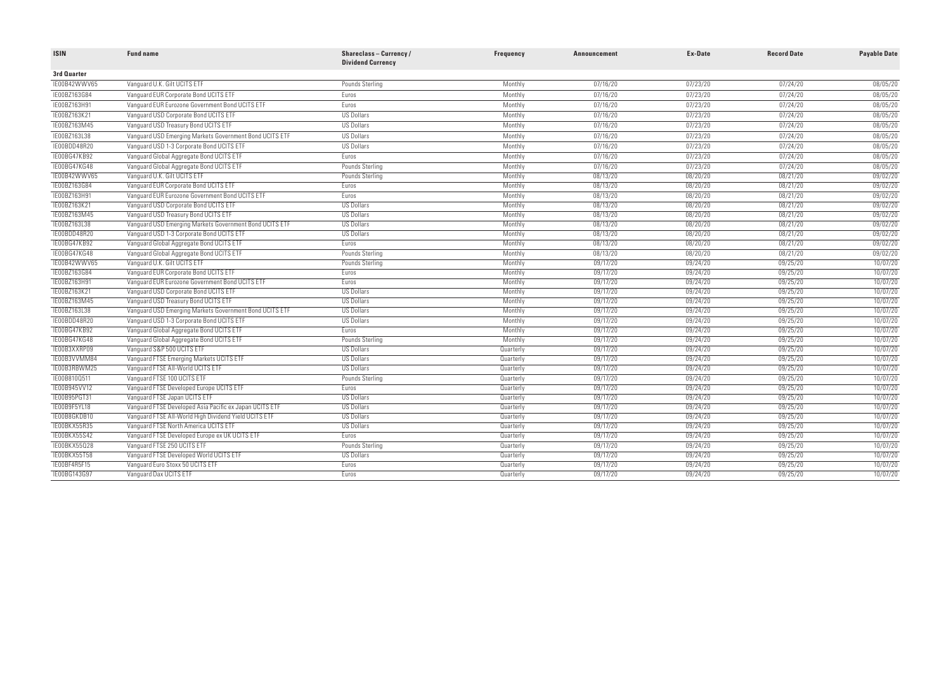| <b>ISIN</b>         | <b>Fund name</b>                                        | Shareclass-Currency/<br><b>Dividend Currency</b> | Frequency | <b>Announcement</b> | <b>Ex-Date</b> | <b>Record Date</b> | <b>Payable Date</b> |
|---------------------|---------------------------------------------------------|--------------------------------------------------|-----------|---------------------|----------------|--------------------|---------------------|
| 3rd Quarter         |                                                         |                                                  |           |                     |                |                    |                     |
| IE00B42WWV65        | Vanquard U.K. Gilt UCITS ETF                            | Pounds Sterling                                  | Monthly   | 07/16/20            | 07/23/20       | 07/24/20           | 08/05/20            |
| IE00BZ163G84        | Vanquard EUR Corporate Bond UCITS ETF                   | Euros                                            | Monthly   | 07/16/20            | 07/23/20       | 07/24/20           | 08/05/20            |
| IE00BZ163H91        | Vanguard EUR Eurozone Government Bond UCITS ETF         | Euros                                            | Monthly   | 07/16/20            | 07/23/20       | 07/24/20           | 08/05/20            |
| IE00BZ163K21        | Vanquard USD Corporate Bond UCITS ETF                   | <b>US Dollars</b>                                | Monthly   | 07/16/20            | 07/23/20       | 07/24/20           | 08/05/20            |
| IE00BZ163M45        | Vanquard USD Treasury Bond UCITS ETF                    | <b>US Dollars</b>                                | Monthly   | 07/16/20            | 07/23/20       | 07/24/20           | 08/05/20            |
| IE00BZ163L38        | Vanquard USD Emerging Markets Government Bond UCITS ETF | <b>US Dollars</b>                                | Monthly   | 07/16/20            | 07/23/20       | 07/24/20           | 08/05/20            |
| IE00BDD48R20        | Vanguard USD 1-3 Corporate Bond UCITS ETF               | <b>US Dollars</b>                                | Monthly   | 07/16/20            | 07/23/20       | 07/24/20           | 08/05/20            |
| <b>IE00BG47KB92</b> | Vanguard Global Aggregate Bond UCITS ETF                | Euros                                            | Monthly   | 07/16/20            | 07/23/20       | 07/24/20           | 08/05/20            |
| IE00BG47KG48        | Vanguard Global Aggregate Bond UCITS ETF                | Pounds Sterling                                  | Monthly   | 07/16/20            | 07/23/20       | 07/24/20           | 08/05/20            |
| IE00B42WWV65        | Vanguard U.K. Gilt UCITS ETF                            | Pounds Sterling                                  | Monthly   | 08/13/20            | 08/20/20       | 08/21/20           | 09/02/20            |
| IE00BZ163G84        | Vanguard EUR Corporate Bond UCITS ETF                   | <b>Euros</b>                                     | Monthly   | 08/13/20            | 08/20/20       | 08/21/20           | 09/02/20            |
| IE00BZ163H91        | Vanquard EUR Eurozone Government Bond UCITS ETF         | <b>Euros</b>                                     | Monthly   | 08/13/20            | 08/20/20       | 08/21/20           | 09/02/20            |
| TE00BZ163K21        | Vanguard USD Corporate Bond UCITS ETF                   | <b>US Dollars</b>                                | Monthly   | 08/13/20            | 08/20/20       | 08/21/20           | 09/02/20            |
| IE00BZ163M45        | Vanguard USD Treasury Bond UCITS ETF                    | <b>US Dollars</b>                                | Monthly   | 08/13/20            | 08/20/20       | 08/21/20           | 09/02/20            |
| IE00BZ163L38        | Vanquard USD Emerging Markets Government Bond UCITS ETF | <b>US Dollars</b>                                | Monthly   | 08/13/20            | 08/20/20       | 08/21/20           | 09/02/20            |
| TE00BDD48R20        | Vanguard USD 1-3 Corporate Bond UCITS ETF               | <b>US Dollars</b>                                | Monthly   | 08/13/20            | 08/20/20       | 08/21/20           | 09/02/20            |
| IE00BG47KB92        | Vanguard Global Aggregate Bond UCITS ETF                | Euros                                            | Monthly   | 08/13/20            | 08/20/20       | 08/21/20           | 09/02/20            |
| IE00BG47KG48        | Vanguard Global Aggregate Bond UCITS ETF                | Pounds Sterling                                  | Monthly   | 08/13/20            | 08/20/20       | 08/21/20           | 09/02/20            |
| IE00B42WWV65        | Vanquard U.K. Gilt UCITS ETF                            | Pounds Sterling                                  | Monthly   | 09/17/20            | 09/24/20       | 09/25/20           | 10/07/20            |
| IE00BZ163G84        | Vanguard EUR Corporate Bond UCITS ETF                   | Euros                                            | Monthly   | 09/17/20            | 09/24/20       | 09/25/20           | 10/07/20            |
| IE00BZ163H91        | Vanguard EUR Eurozone Government Bond UCITS ETF         | Furos                                            | Monthly   | 09/17/20            | 09/24/20       | 09/25/20           | 10/07/20            |
| TE00BZ163K21        | Vanguard USD Corporate Bond UCITS ETF                   | <b>US Dollars</b>                                | Monthly   | 09/17/20            | 09/24/20       | 09/25/20           | 10/07/20            |
| IE00BZ163M45        | Vanguard USD Treasury Bond UCITS ETF                    | <b>US Dollars</b>                                | Monthly   | 09/17/20            | 09/24/20       | 09/25/20           | 10/07/20            |
| IE00BZ163L38        | Vanquard USD Emerging Markets Government Bond UCITS ETF | <b>US Dollars</b>                                | Monthly   | 09/17/20            | 09/24/20       | 09/25/20           | 10/07/20            |
| IE00BDD48R20        | Vanguard USD 1-3 Corporate Bond UCITS ETF               | <b>US Dollars</b>                                | Monthly   | 09/17/20            | 09/24/20       | 09/25/20           | 10/07/20            |
| <b>IE00BG47KB92</b> | Vanguard Global Aggregate Bond UCITS ETF                | Euros                                            | Monthly   | 09/17/20            | 09/24/20       | 09/25/20           | 10/07/20            |
| IE00BG47KG48        | Vanguard Global Aggregate Bond UCITS ETF                | Pounds Sterling                                  | Monthly   | 09/17/20            | 09/24/20       | 09/25/20           | 10/07/20            |
| IE00B3XXRP09        | Vanguard S&P 500 UCITS ETF                              | <b>US Dollars</b>                                | Quarterly | 09/17/20            | 09/24/20       | 09/25/20           | 10/07/20            |
| IE00B3VVMM84        | Vanguard FTSE Emerging Markets UCITS ETF                | <b>US Dollars</b>                                | Quarterly | 09/17/20            | 09/24/20       | 09/25/20           | 10/07/20            |
| IE00B3RBWM25        | Vanguard FTSE All-World UCITS ETF                       | <b>US Dollars</b>                                | Quarterly | 09/17/20            | 09/24/20       | 09/25/20           | 10/07/20            |
| IE00B810Q511        | Vanguard FTSE 100 UCITS ETF                             | Pounds Sterling                                  | Quarterly | 09/17/20            | 09/24/20       | 09/25/20           | 10/07/20            |
| IE00B945VV12        | Vanguard FTSE Developed Europe UCITS ETF                | Euros                                            | Quarterly | 09/17/20            | 09/24/20       | 09/25/20           | 10/07/20            |
| IE00B95PGT31        | Vanquard FTSE Japan UCITS ETF                           | US Dollars                                       | Quarterly | 09/17/20            | 09/24/20       | 09/25/20           | 10/07/20            |
| IE00B9F5YL18        | Vanquard FTSE Developed Asia Pacific ex Japan UCITS ETF | <b>US Dollars</b>                                | Quarterly | 09/17/20            | 09/24/20       | 09/25/20           | 10/07/20            |
| IE00B8GKDB10        | Vanguard FTSE All-World High Dividend Yield UCITS ETF   | <b>US Dollars</b>                                | Quarterly | 09/17/20            | 09/24/20       | 09/25/20           | 10/07/20            |
| IE00BKX55R35        | Vanquard FTSE North America UCITS ETF                   | <b>US Dollars</b>                                | Quarterly | 09/17/20            | 09/24/20       | 09/25/20           | 10/07/20            |
| IE00BKX55S42        | Vanquard FTSE Developed Europe ex UK UCITS ETF          | Euros                                            | Quarterly | 09/17/20            | 09/24/20       | 09/25/20           | 10/07/20            |
| IE00BKX55Q28        | Vanguard FTSE 250 UCITS ETF                             | Pounds Sterling                                  | Quarterly | 09/17/20            | 09/24/20       | 09/25/20           | 10/07/20            |
| <b>IE00BKX55T58</b> | Vanquard FTSE Developed World UCITS ETF                 | <b>US Dollars</b>                                | Quarterly | 09/17/20            | 09/24/20       | 09/25/20           | 10/07/20            |
| IE00BF4R5F15        | Vanguard Euro Stoxx 50 UCITS ETF                        | Euros                                            | Quarterly | 09/17/20            | 09/24/20       | 09/25/20           | 10/07/20            |
| TE00BG143G97        | Vanguard Dax UCITS ETF                                  | Euros                                            | Quarterly | 09/17/20            | 09/24/20       | 09/25/20           | 10/07/20            |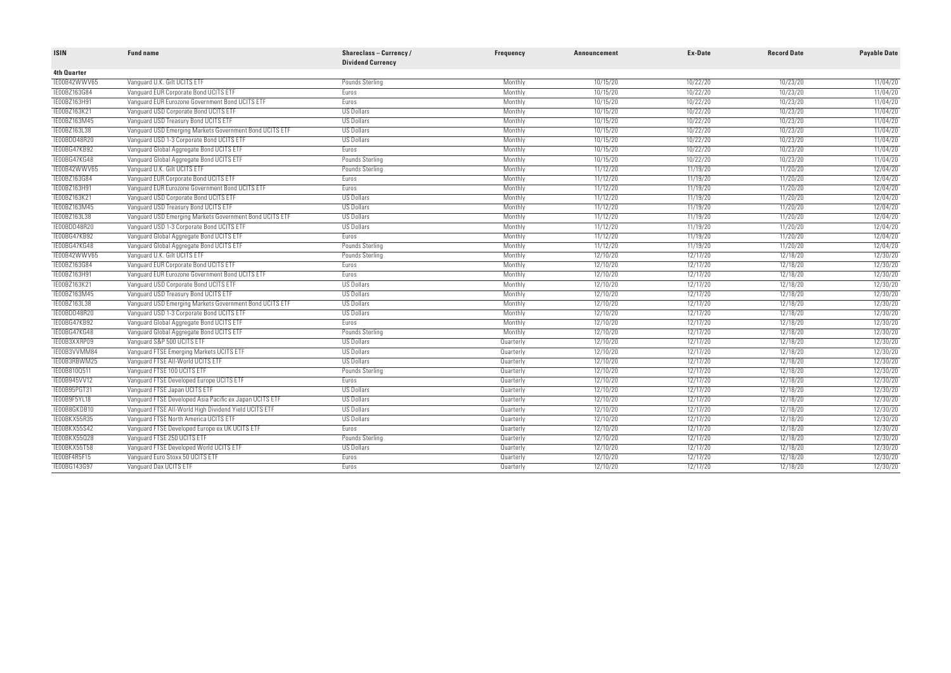| <b>ISIN</b>         | <b>Fund name</b>                                        | Shareclass-Currency/<br><b>Dividend Currency</b> | Frequency | <b>Announcement</b> | Ex-Date  | <b>Record Date</b> | <b>Payable Date</b> |
|---------------------|---------------------------------------------------------|--------------------------------------------------|-----------|---------------------|----------|--------------------|---------------------|
| 4th Quarter         |                                                         |                                                  |           |                     |          |                    |                     |
| IE00B42WWV65        | Vanquard U.K. Gilt UCITS ETF                            | Pounds Sterling                                  | Monthly   | 10/15/20            | 10/22/20 | 10/23/20           | 11/04/20            |
| TE00BZ163G84        | Vanguard EUR Corporate Bond UCITS ETF                   | Euros                                            | Monthly   | 10/15/20            | 10/22/20 | 10/23/20           | 11/04/20            |
| IE00BZ163H91        | Vanquard EUR Eurozone Government Bond UCITS ETF         | <b>Euros</b>                                     | Monthly   | 10/15/20            | 10/22/20 | 10/23/20           | 11/04/20            |
| IE00BZ163K21        | Vanquard USD Corporate Bond UCITS ETF                   | <b>US Dollars</b>                                | Monthly   | 10/15/20            | 10/22/20 | 10/23/20           | 11/04/20            |
| IE00BZ163M45        | Vanguard USD Treasury Bond UCITS ETF                    | <b>US Dollars</b>                                | Monthly   | 10/15/20            | 10/22/20 | 10/23/20           | 11/04/20            |
| IE00BZ163L38        | Vanquard USD Emerging Markets Government Bond UCITS ETF | US Dollars                                       | Monthly   | 10/15/20            | 10/22/20 | 10/23/20           | 11/04/20            |
| IE00BDD48R20        | Vanguard USD 1-3 Corporate Bond UCITS ETF               | <b>US Dollars</b>                                | Monthly   | 10/15/20            | 10/22/20 | 10/23/20           | 11/04/20            |
| IE00BG47KB92        | Vanguard Global Aggregate Bond UCITS ETF                | <b>Euros</b>                                     | Monthly   | 10/15/20            | 10/22/20 | 10/23/20           | 11/04/20            |
| IE00BG47KG48        | Vanguard Global Aggregate Bond UCITS ETF                | Pounds Sterling                                  | Monthly   | 10/15/20            | 10/22/20 | 10/23/20           | 11/04/20            |
| IE00B42WWV65        | Vanguard U.K. Gilt UCITS ETF                            | Pounds Sterling                                  | Monthly   | 11/12/20            | 11/19/20 | 11/20/20           | 12/04/20            |
| TE00BZ163G84        | Vanguard EUR Corporate Bond UCITS ETF                   | Euros                                            | Monthly   | 11/12/20            | 11/19/20 | 11/20/20           | 12/04/20            |
| <b>IE00BZ163H91</b> | Vanquard EUR Eurozone Government Bond UCITS ETF         | Euros                                            | Monthly   | 11/12/20            | 11/19/20 | 11/20/20           | 12/04/20            |
| IE00BZ163K21        | Vanguard USD Corporate Bond UCITS ETF                   | <b>US Dollars</b>                                | Monthly   | 11/12/20            | 11/19/20 | 11/20/20           | 12/04/20            |
| TE00BZ163M45        | Vanquard USD Treasury Bond UCITS ETF                    | <b>US Dollars</b>                                | Monthly   | 11/12/20            | 11/19/20 | 11/20/20           | 12/04/20            |
| TE00BZ163L38        | Vanquard USD Emerging Markets Government Bond UCITS ETF | <b>US Dollars</b>                                | Monthly   | 11/12/20            | 11/19/20 | 11/20/20           | 12/04/20            |
| IE00BDD48R20        | Vanguard USD 1-3 Corporate Bond UCITS ETF               | <b>US Dollars</b>                                | Monthly   | 11/12/20            | 11/19/20 | 11/20/20           | 12/04/20            |
| <b>TEOOBG47KB92</b> | Vanguard Global Aggregate Bond UCITS ETF                | <b>Furos</b>                                     | Monthly   | 11/12/20            | 11/19/20 | 11/20/20           | 12/04/20            |
| IE00BG47KG48        | Vanguard Global Aggregate Bond UCITS ETF                | Pounds Sterling                                  | Monthly   | 11/12/20            | 11/19/20 | 11/20/20           | 12/04/20            |
| IE00B42WWV65        | Vanguard U.K. Gilt UCITS ETF                            | Pounds Sterling                                  | Monthly   | 12/10/20            | 12/17/20 | 12/18/20           | 12/30/20            |
| TE00BZ163G84        | Vanguard EUR Corporate Bond UCITS ETF                   | Euros                                            | Monthly   | 12/10/20            | 12/17/20 | 12/18/20           | 12/30/20            |
| IE00BZ163H91        | Vanquard EUR Eurozone Government Bond UCITS ETF         | Euros                                            | Monthly   | 12/10/20            | 12/17/20 | 12/18/20           | 12/30/20            |
| IE00BZ163K21        | Vanguard USD Corporate Bond UCITS ETF                   | <b>US Dollars</b>                                | Monthly   | 12/10/20            | 12/17/20 | 12/18/20           | 12/30/20            |
| IE00BZ163M45        | Vanguard USD Treasury Bond UCITS ETF                    | <b>US Dollars</b>                                | Monthly   | 12/10/20            | 12/17/20 | 12/18/20           | 12/30/20            |
| TE00BZ163L38        | Vanquard USD Emerging Markets Government Bond UCITS ETF | <b>US Dollars</b>                                | Monthly   | 12/10/20            | 12/17/20 | 12/18/20           | 12/30/20            |
| IE00BDD48R20        | Vanguard USD 1-3 Corporate Bond UCITS ETF               | <b>US Dollars</b>                                | Monthly   | 12/10/20            | 12/17/20 | 12/18/20           | 12/30/20            |
| IE00BG47KB92        | Vanguard Global Aggregate Bond UCITS ETF                | Euros                                            | Monthly   | 12/10/20            | 12/17/20 | 12/18/20           | 12/30/20            |
| IE00BG47KG48        | Vanguard Global Aggregate Bond UCITS ETF                | <b>Pounds Sterling</b>                           | Monthly   | 12/10/20            | 12/17/20 | 12/18/20           | 12/30/20            |
| IE00B3XXRP09        | Vanguard S&P 500 UCITS ETF                              | <b>US Dollars</b>                                | Quarterly | 12/10/20            | 12/17/20 | 12/18/20           | 12/30/20            |
| IE00B3VVMM84        | Vanguard FTSE Emerging Markets UCITS ETF                | <b>US Dollars</b>                                | Quarterly | 12/10/20            | 12/17/20 | 12/18/20           | 12/30/20            |
| TE00B3RBWM25        | Vanquard FTSE All-World UCITS ETF                       | <b>US Dollars</b>                                | Quarterly | 12/10/20            | 12/17/20 | 12/18/20           | 12/30/20            |
| TE00B810Q511        | Vanguard FTSE 100 UCITS ETF                             | Pounds Sterling                                  | Quarterly | 12/10/20            | 12/17/20 | 12/18/20           | 12/30/20            |
| IE00B945VV12        | Vanguard FTSE Developed Europe UCITS ETF                | Euros                                            | Quarterly | 12/10/20            | 12/17/20 | 12/18/20           | 12/30/20            |
| IE00B95PGT31        | Vanguard FTSE Japan UCITS ETF                           | <b>US Dollars</b>                                | Quarterly | 12/10/20            | 12/17/20 | 12/18/20           | 12/30/20            |
| IE00B9F5YL18        | Vanguard FTSE Developed Asia Pacific ex Japan UCITS ETF | <b>US Dollars</b>                                | Quarterly | 12/10/20            | 12/17/20 | 12/18/20           | 12/30/20            |
| IE00B8GKDB10        | Vanquard FTSE All-World High Dividend Yield UCITS ETF   | US Dollars                                       | Quarterly | 12/10/20            | 12/17/20 | 12/18/20           | 12/30/20            |
| TEOOBKX55R35        | Vanguard FTSE North America UCITS ETF                   | <b>US Dollars</b>                                | Quarterly | 12/10/20            | 12/17/20 | 12/18/20           | 12/30/20            |
| IE00BKX55S42        | Vanguard FTSE Developed Europe ex UK UCITS ETF          | Euros                                            | Quarterly | 12/10/20            | 12/17/20 | 12/18/20           | 12/30/20            |
| <b>IE00BKX55028</b> | Vanguard FTSE 250 UCITS ETF                             | Pounds Sterling                                  | Quarterly | 12/10/20            | 12/17/20 | 12/18/20           | 12/30/20            |
| TEOOBKX55T58        | Vanguard FTSE Developed World UCITS ETF                 | <b>US Dollars</b>                                | Quarterly | 12/10/20            | 12/17/20 | 12/18/20           | 12/30/20            |
| TEOOBF4R5F15        | Vanguard Euro Stoxx 50 UCITS ETF                        | Euros                                            | Quarterly | 12/10/20            | 12/17/20 | 12/18/20           | 12/30/20            |
| IE00BG143G97        | Vanguard Dax UCITS ETF                                  | Euros                                            | Quarterly | 12/10/20            | 12/17/20 | 12/18/20           | 12/30/20            |